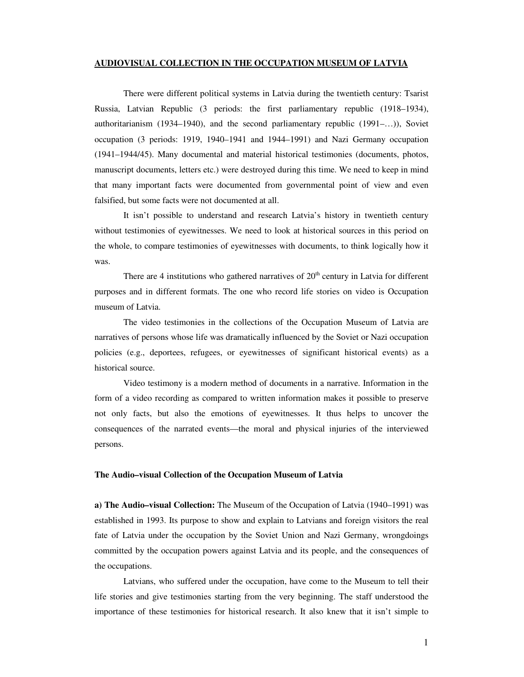## **AUDIOVISUAL COLLECTION IN THE OCCUPATION MUSEUM OF LATVIA**

There were different political systems in Latvia during the twentieth century: Tsarist Russia, Latvian Republic (3 periods: the first parliamentary republic (1918–1934), authoritarianism (1934–1940), and the second parliamentary republic (1991–…)), Soviet occupation (3 periods: 1919, 1940–1941 and 1944–1991) and Nazi Germany occupation (1941–1944/45). Many documental and material historical testimonies (documents, photos, manuscript documents, letters etc.) were destroyed during this time. We need to keep in mind that many important facts were documented from governmental point of view and even falsified, but some facts were not documented at all.

It isn't possible to understand and research Latvia's history in twentieth century without testimonies of eyewitnesses. We need to look at historical sources in this period on the whole, to compare testimonies of eyewitnesses with documents, to think logically how it was.

There are 4 institutions who gathered narratives of  $20<sup>th</sup>$  century in Latvia for different purposes and in different formats. The one who record life stories on video is Occupation museum of Latvia.

The video testimonies in the collections of the Occupation Museum of Latvia are narratives of persons whose life was dramatically influenced by the Soviet or Nazi occupation policies (e.g., deportees, refugees, or eyewitnesses of significant historical events) as a historical source.

Video testimony is a modern method of documents in a narrative. Information in the form of a video recording as compared to written information makes it possible to preserve not only facts, but also the emotions of eyewitnesses. It thus helps to uncover the consequences of the narrated events—the moral and physical injuries of the interviewed persons.

## **The Audio–visual Collection of the Occupation Museum of Latvia**

**a) The Audio–visual Collection:** The Museum of the Occupation of Latvia (1940–1991) was established in 1993. Its purpose to show and explain to Latvians and foreign visitors the real fate of Latvia under the occupation by the Soviet Union and Nazi Germany, wrongdoings committed by the occupation powers against Latvia and its people, and the consequences of the occupations.

Latvians, who suffered under the occupation, have come to the Museum to tell their life stories and give testimonies starting from the very beginning. The staff understood the importance of these testimonies for historical research. It also knew that it isn't simple to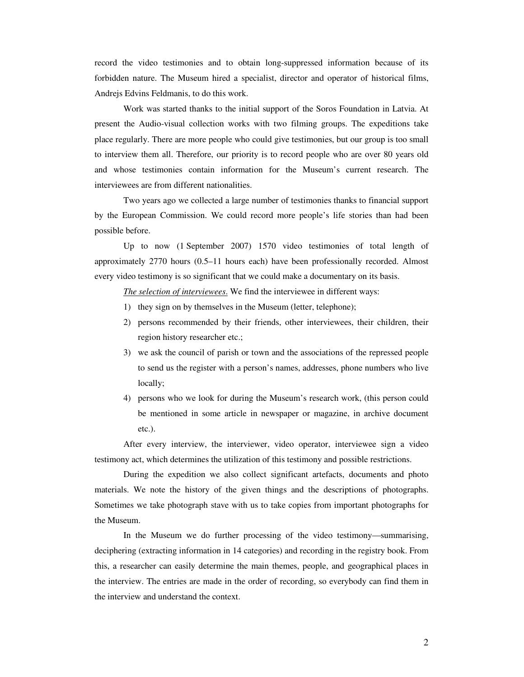record the video testimonies and to obtain long-suppressed information because of its forbidden nature. The Museum hired a specialist, director and operator of historical films, Andrejs Edvins Feldmanis, to do this work.

Work was started thanks to the initial support of the Soros Foundation in Latvia. At present the Audio-visual collection works with two filming groups. The expeditions take place regularly. There are more people who could give testimonies, but our group is too small to interview them all. Therefore, our priority is to record people who are over 80 years old and whose testimonies contain information for the Museum's current research. The interviewees are from different nationalities.

Two years ago we collected a large number of testimonies thanks to financial support by the European Commission. We could record more people's life stories than had been possible before.

Up to now (1 September 2007) 1570 video testimonies of total length of approximately 2770 hours (0.5–11 hours each) have been professionally recorded. Almost every video testimony is so significant that we could make a documentary on its basis.

*The selection of interviewees*. We find the interviewee in different ways:

- 1) they sign on by themselves in the Museum (letter, telephone);
- 2) persons recommended by their friends, other interviewees, their children, their region history researcher etc.;
- 3) we ask the council of parish or town and the associations of the repressed people to send us the register with a person's names, addresses, phone numbers who live locally;
- 4) persons who we look for during the Museum's research work, (this person could be mentioned in some article in newspaper or magazine, in archive document etc.).

After every interview, the interviewer, video operator, interviewee sign a video testimony act, which determines the utilization of this testimony and possible restrictions.

During the expedition we also collect significant artefacts, documents and photo materials. We note the history of the given things and the descriptions of photographs. Sometimes we take photograph stave with us to take copies from important photographs for the Museum.

In the Museum we do further processing of the video testimony—summarising, deciphering (extracting information in 14 categories) and recording in the registry book. From this, a researcher can easily determine the main themes, people, and geographical places in the interview. The entries are made in the order of recording, so everybody can find them in the interview and understand the context.